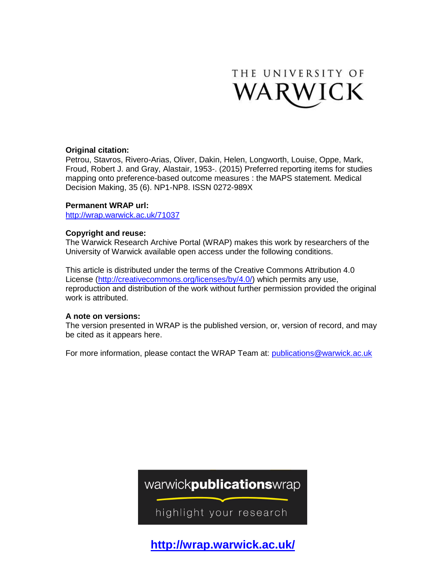

## **Original citation:**

Petrou, Stavros, Rivero-Arias, Oliver, Dakin, Helen, Longworth, Louise, Oppe, Mark, Froud, Robert J. and Gray, Alastair, 1953-. (2015) Preferred reporting items for studies mapping onto preference-based outcome measures : the MAPS statement. Medical Decision Making, 35 (6). NP1-NP8. ISSN 0272-989X

## **Permanent WRAP url:**

<http://wrap.warwick.ac.uk/71037>

# **Copyright and reuse:**

The Warwick Research Archive Portal (WRAP) makes this work by researchers of the University of Warwick available open access under the following conditions.

This article is distributed under the terms of the Creative Commons Attribution 4.0 License [\(http://creativecommons.org/licenses/by/4.0/\)](http://creativecommons.org/licenses/by/4.0/) which permits any use, reproduction and distribution of the work without further permission provided the original work is attributed.

## **A note on versions:**

The version presented in WRAP is the published version, or, version of record, and may be cited as it appears here.

For more information, please contact the WRAP Team at: [publications@warwick.ac.uk](mailto:publications@warwick.ac.uk)

warwickpublicationswrap

highlight your research

**<http://wrap.warwick.ac.uk/>**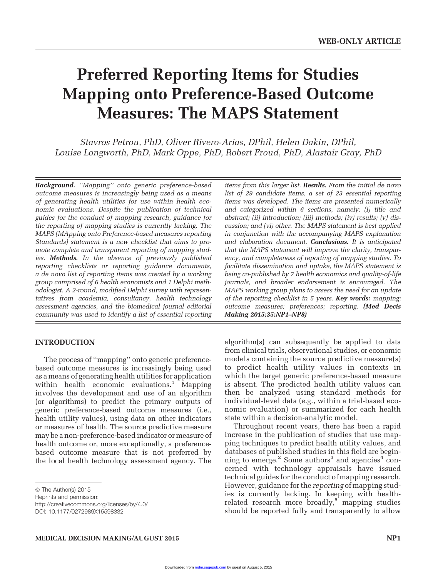# Preferred Reporting Items for Studies Mapping onto Preference-Based Outcome Measures: The MAPS Statement

Stavros Petrou, PhD, Oliver Rivero-Arias, DPhil, Helen Dakin, DPhil, Louise Longworth, PhD, Mark Oppe, PhD, Robert Froud, PhD, Alastair Gray, PhD

Background. ''Mapping'' onto generic preference-based outcome measures is increasingly being used as a means of generating health utilities for use within health economic evaluations. Despite the publication of technical guides for the conduct of mapping research, guidance for the reporting of mapping studies is currently lacking. The MAPS (MApping onto Preference-based measures reporting Standards) statement is a new checklist that aims to promote complete and transparent reporting of mapping studies. Methods. In the absence of previously published reporting checklists or reporting guidance documents, a de novo list of reporting items was created by a working group comprised of 6 health economists and 1 Delphi methodologist. A 2-round, modified Delphi survey with representatives from academia, consultancy, health technology assessment agencies, and the biomedical journal editorial community was used to identify a list of essential reporting

## INTRODUCTION

The process of ''mapping'' onto generic preferencebased outcome measures is increasingly being used as a means of generating health utilities for application within health economic evaluations.<sup>1</sup> Mapping involves the development and use of an algorithm (or algorithms) to predict the primary outputs of generic preference-based outcome measures (i.e., health utility values), using data on other indicators or measures of health. The source predictive measure may be a non-preference-based indicator or measure of health outcome or, more exceptionally, a preferencebased outcome measure that is not preferred by the local health technology assessment agency. The

© The Author(s) 2015

Reprints and permission:

http://creativecommons.org/licenses/by/4.0/

DOI: 10.1177/0272989X15598332

items from this larger list. Results. From the initial de novo list of 29 candidate items, a set of 23 essential reporting items was developed. The items are presented numerically and categorized within 6 sections, namely: (i) title and abstract; (ii) introduction; (iii) methods; (iv) results; (v) discussion; and (vi) other. The MAPS statement is best applied in conjunction with the accompanying MAPS explanation and elaboration document. Conclusions. It is anticipated that the MAPS statement will improve the clarity, transparency, and completeness of reporting of mapping studies. To facilitate dissemination and uptake, the MAPS statement is being co-published by 7 health economics and quality-of-life journals, and broader endorsement is encouraged. The MAPS working group plans to assess the need for an update of the reporting checklist in  $5$  years. Key words: mapping; outcome measures; preferences; reporting. (Med Decis Making 2015;35:NP1–NP8)

algorithm(s) can subsequently be applied to data from clinical trials, observational studies, or economic models containing the source predictive measure(s) to predict health utility values in contexts in which the target generic preference-based measure is absent. The predicted health utility values can then be analyzed using standard methods for individual-level data (e.g., within a trial-based economic evaluation) or summarized for each health state within a decision-analytic model.

Throughout recent years, there has been a rapid increase in the publication of studies that use mapping techniques to predict health utility values, and databases of published studies in this field are beginning to emerge.<sup>2</sup> Some authors<sup>3</sup> and agencies<sup>4</sup> concerned with technology appraisals have issued technical guides for the conduct of mapping research. However, guidance for the reporting of mapping studies is currently lacking. In keeping with healthrelated research more broadly, $5$  mapping studies should be reported fully and transparently to allow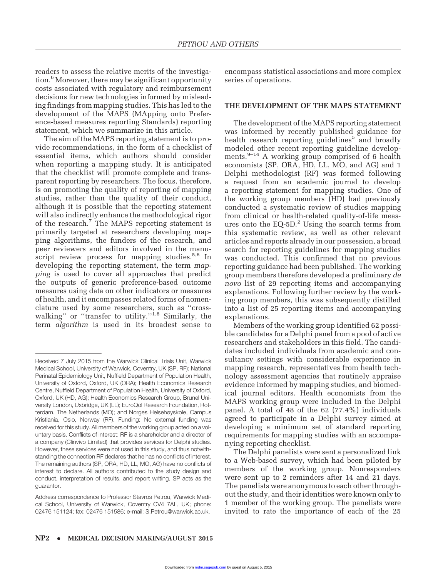readers to assess the relative merits of the investigation.6 Moreover, there may be significant opportunity costs associated with regulatory and reimbursement decisions for new technologies informed by misleading findings from mapping studies. This has led to the development of the MAPS (MApping onto Preference-based measures reporting Standards) reporting statement, which we summarize in this article.

The aim of the MAPS reporting statement is to provide recommendations, in the form of a checklist of essential items, which authors should consider when reporting a mapping study. It is anticipated that the checklist will promote complete and transparent reporting by researchers. The focus, therefore, is on promoting the quality of reporting of mapping studies, rather than the quality of their conduct, although it is possible that the reporting statement will also indirectly enhance the methodological rigor of the research.<sup>7</sup> The MAPS reporting statement is primarily targeted at researchers developing mapping algorithms, the funders of the research, and peer reviewers and editors involved in the manuscript review process for mapping studies. $5.6$  In developing the reporting statement, the term mapping is used to cover all approaches that predict the outputs of generic preference-based outcome measures using data on other indicators or measures of health, and it encompasses related forms of nomenclature used by some researchers, such as ''crosswalking" or "transfer to utility."<sup>1,8</sup> Similarly, the term algorithm is used in its broadest sense to

encompass statistical associations and more complex series of operations.

#### THE DEVELOPMENT OF THE MAPS STATEMENT

The development of the MAPS reporting statement was informed by recently published guidance for health research reporting guidelines<sup>5</sup> and broadly modeled other recent reporting guideline developments.<sup>9-14</sup> A working group comprised of 6 health economists (SP, ORA, HD, LL, MO, and AG) and 1 Delphi methodologist (RF) was formed following a request from an academic journal to develop a reporting statement for mapping studies. One of the working group members (HD) had previously conducted a systematic review of studies mapping from clinical or health-related quality-of-life measures onto the  $EQ-5D<sup>2</sup>$  Using the search terms from this systematic review, as well as other relevant articles and reports already in our possession, a broad search for reporting guidelines for mapping studies was conducted. This confirmed that no previous reporting guidance had been published. The working group members therefore developed a preliminary de novo list of 29 reporting items and accompanying explanations. Following further review by the working group members, this was subsequently distilled into a list of 25 reporting items and accompanying explanations.

Members of the working group identified 62 possible candidates for a Delphi panel from a pool of active researchers and stakeholders in this field. The candidates included individuals from academic and consultancy settings with considerable experience in mapping research, representatives from health technology assessment agencies that routinely appraise evidence informed by mapping studies, and biomedical journal editors. Health economists from the MAPS working group were included in the Delphi panel. A total of 48 of the 62 (77.4%) individuals agreed to participate in a Delphi survey aimed at developing a minimum set of standard reporting requirements for mapping studies with an accompanying reporting checklist.

The Delphi panelists were sent a personalized link to a Web-based survey, which had been piloted by members of the working group. Nonresponders were sent up to 2 reminders after 14 and 21 days. The panelists were anonymous to each other throughout the study, and their identities were known only to 1 member of the working group. The panelists were invited to rate the importance of each of the 25

Received 7 July 2015 from the Warwick Clinical Trials Unit, Warwick Medical School, University of Warwick, Coventry, UK (SP, RF); National Perinatal Epidemiology Unit, Nuffield Department of Population Health, University of Oxford, Oxford, UK (ORA); Health Economics Research Centre, Nuffield Department of Population Health, University of Oxford, Oxford, UK (HD, AG); Health Economics Research Group, Brunel University London, Uxbridge, UK (LL); EuroQol Research Foundation, Rotterdam, The Netherlands (MO); and Norges Helsehøyskole, Campus Kristiania, Oslo, Norway (RF). Funding: No external funding was received for this study. All members of the working group acted on a voluntary basis. Conflicts of interest: RF is a shareholder and a director of a company (Clinvivo Limited) that provides services for Delphi studies. However, these services were not used in this study, and thus notwithstanding the connection RF declares that he has no conflicts of interest. The remaining authors (SP, ORA, HD, LL, MO, AG) have no conflicts of interest to declare. All authors contributed to the study design and conduct, interpretation of results, and report writing. SP acts as the guarantor.

Address correspondence to Professor Stavros Petrou, Warwick Medical School, University of Warwick, Coventry CV4 7AL, UK; phone: 02476 151124; fax: 02476 151586; e-mail: S.Petrou@warwick.ac.uk.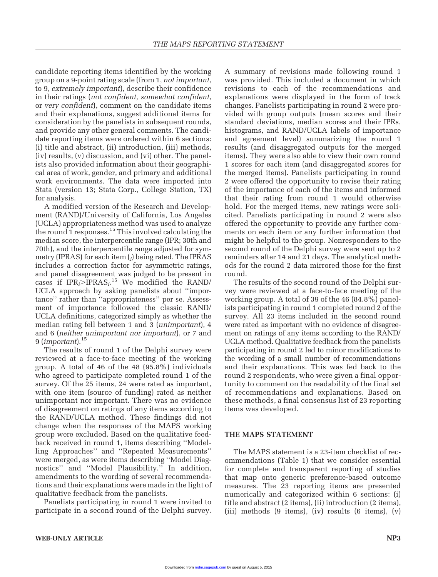candidate reporting items identified by the working group on a 9-point rating scale (from 1, not important, to 9, extremely important), describe their confidence in their ratings (not confident, somewhat confident, or very confident), comment on the candidate items and their explanations, suggest additional items for consideration by the panelists in subsequent rounds, and provide any other general comments. The candidate reporting items were ordered within 6 sections: (i) title and abstract, (ii) introduction, (iii) methods, (iv) results, (v) discussion, and (vi) other. The panelists also provided information about their geographical area of work, gender, and primary and additional work environments. The data were imported into Stata (version 13; Stata Corp., College Station, TX) for analysis.

A modified version of the Research and Development (RAND)/University of California, Los Angeles (UCLA) appropriateness method was used to analyze the round 1 responses.<sup>15</sup> This involved calculating the median score, the interpercentile range (IPR; 30th and 70th), and the interpercentile range adjusted for symmetry (IPRAS) for each item (;) being rated. The IPRAS includes a correction factor for asymmetric ratings, and panel disagreement was judged to be present in cases if  $IPR_i > IPRAS_i$ <sup>15</sup> We modified the RAND/ UCLA approach by asking panelists about ''importance'' rather than ''appropriateness'' per se. Assessment of importance followed the classic RAND/ UCLA definitions, categorized simply as whether the median rating fell between 1 and 3 (unimportant), 4 and 6 (neither unimportant nor important), or 7 and 9 (important).<sup>15</sup>

The results of round 1 of the Delphi survey were reviewed at a face-to-face meeting of the working group. A total of 46 of the 48 (95.8%) individuals who agreed to participate completed round 1 of the survey. Of the 25 items, 24 were rated as important, with one item (source of funding) rated as neither unimportant nor important. There was no evidence of disagreement on ratings of any items according to the RAND/UCLA method. These findings did not change when the responses of the MAPS working group were excluded. Based on the qualitative feedback received in round 1, items describing ''Modelling Approaches'' and ''Repeated Measurements'' were merged, as were items describing ''Model Diagnostics'' and ''Model Plausibility.'' In addition, amendments to the wording of several recommendations and their explanations were made in the light of qualitative feedback from the panelists.

Panelists participating in round 1 were invited to participate in a second round of the Delphi survey. A summary of revisions made following round 1 was provided. This included a document in which revisions to each of the recommendations and explanations were displayed in the form of track changes. Panelists participating in round 2 were provided with group outputs (mean scores and their standard deviations, median scores and their IPRs, histograms, and RAND/UCLA labels of importance and agreement level) summarizing the round 1 results (and disaggregated outputs for the merged items). They were also able to view their own round 1 scores for each item (and disaggregated scores for the merged items). Panelists participating in round 2 were offered the opportunity to revise their rating of the importance of each of the items and informed that their rating from round 1 would otherwise hold. For the merged items, new ratings were solicited. Panelists participating in round 2 were also offered the opportunity to provide any further comments on each item or any further information that might be helpful to the group. Nonresponders to the second round of the Delphi survey were sent up to 2 reminders after 14 and 21 days. The analytical methods for the round 2 data mirrored those for the first round.

The results of the second round of the Delphi survey were reviewed at a face-to-face meeting of the working group. A total of 39 of the 46 (84.8%) panelists participating in round 1 completed round 2 of the survey. All 23 items included in the second round were rated as important with no evidence of disagreement on ratings of any items according to the RAND/ UCLA method. Qualitative feedback from the panelists participating in round 2 led to minor modifications to the wording of a small number of recommendations and their explanations. This was fed back to the round 2 respondents, who were given a final opportunity to comment on the readability of the final set of recommendations and explanations. Based on these methods, a final consensus list of 23 reporting items was developed.

#### THE MAPS STATEMENT

The MAPS statement is a 23-item checklist of recommendations (Table 1) that we consider essential for complete and transparent reporting of studies that map onto generic preference-based outcome measures. The 23 reporting items are presented numerically and categorized within 6 sections: (i) title and abstract (2 items), (ii) introduction (2 items), (iii) methods (9 items), (iv) results (6 items), (v)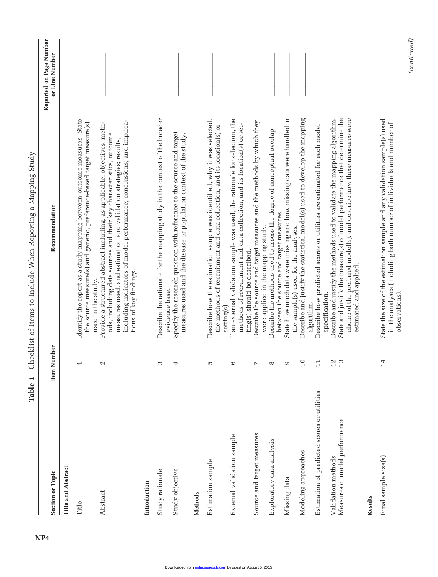| Table 1                                             |                        | Checklist of Items to Include When Reporting a Mapping Study                                                                                                                                                                                                                                                                                                                                                                                                                                    |                                           |
|-----------------------------------------------------|------------------------|-------------------------------------------------------------------------------------------------------------------------------------------------------------------------------------------------------------------------------------------------------------------------------------------------------------------------------------------------------------------------------------------------------------------------------------------------------------------------------------------------|-------------------------------------------|
| Section or Topic                                    | Number<br>Item         | Recommendation                                                                                                                                                                                                                                                                                                                                                                                                                                                                                  | Reported on Page Number<br>or Line Number |
| <b>Title and Abstract</b>                           |                        |                                                                                                                                                                                                                                                                                                                                                                                                                                                                                                 |                                           |
| Abstract<br>Title                                   | $\mathbf{\Omega}$<br>1 | Identify the report as a study mapping between outcome measures. State<br>including indicators of model performance; conclusions; and implica-<br>the source measure(s) and generic, preference-based target measure(s)<br>Provide a structured abstract including, as applicable: objectives; meth-<br>ods, including data sources and their key characteristics, outcome<br>measures used, and estimation and validation strategies; results,<br>tions of key findings.<br>used in the study. |                                           |
| Introduction                                        |                        |                                                                                                                                                                                                                                                                                                                                                                                                                                                                                                 |                                           |
| Study rationale                                     | 3                      | Describe the rationale for the mapping study in the context of the broader                                                                                                                                                                                                                                                                                                                                                                                                                      |                                           |
| Study objective                                     | 4                      | Specify the research question with reference to the source and target<br>measures used and the disease or population context of the study.<br>evidence base.                                                                                                                                                                                                                                                                                                                                    |                                           |
| Methods                                             |                        |                                                                                                                                                                                                                                                                                                                                                                                                                                                                                                 |                                           |
| Estimation sample                                   | S                      | Describe how the estimation sample was identified, why it was selected,<br>the methods of recruitment and data collection, and its location(s) or                                                                                                                                                                                                                                                                                                                                               |                                           |
| External validation sample                          | 6                      | If an external validation sample was used, the rationale for selection, the<br>methods of recruitment and data collection, and its location(s) or set-<br>setting(s)                                                                                                                                                                                                                                                                                                                            |                                           |
| Source and target measures                          | $\overline{ }$         | Describe the source and target measures and the methods by which they<br>ting(s) should be described.                                                                                                                                                                                                                                                                                                                                                                                           |                                           |
| Exploratory data analysis                           | $^{\circ}$             | Describe the methods used to assess the degree of conceptual overlap<br>were applied in the mapping study.                                                                                                                                                                                                                                                                                                                                                                                      |                                           |
| Missing data                                        | Φ                      | State how much data were missing and how missing data were handled in<br>between the source and target measures.                                                                                                                                                                                                                                                                                                                                                                                |                                           |
| Modeling approaches                                 | $\overline{10}$        | Describe and justify the statistical model(s) used to develop the mapping<br>the sample(s) used for the analyses.                                                                                                                                                                                                                                                                                                                                                                               |                                           |
| Estimation of predicted scores or utilities         | $\Xi$                  | Describe how predicted scores or utilities are estimated for each model<br>specification.<br>algorithm.                                                                                                                                                                                                                                                                                                                                                                                         |                                           |
| Measures of model performance<br>Validation methods | $12\,$<br>13           | State and justify the measure(s) of model performance that determine the<br>choice of the preferred model(s), and describe how these measures were<br>Describe and justify the methods used to validate the mapping algorithm.<br>estimated and applied.                                                                                                                                                                                                                                        |                                           |
| Results                                             |                        |                                                                                                                                                                                                                                                                                                                                                                                                                                                                                                 |                                           |
| Final sample size(s)                                | 14                     | State the size of the estimation sample and any validation sample(s) used<br>in the analyses (including both number of individuals and number of<br>observations)                                                                                                                                                                                                                                                                                                                               |                                           |
|                                                     |                        |                                                                                                                                                                                                                                                                                                                                                                                                                                                                                                 | (continued)                               |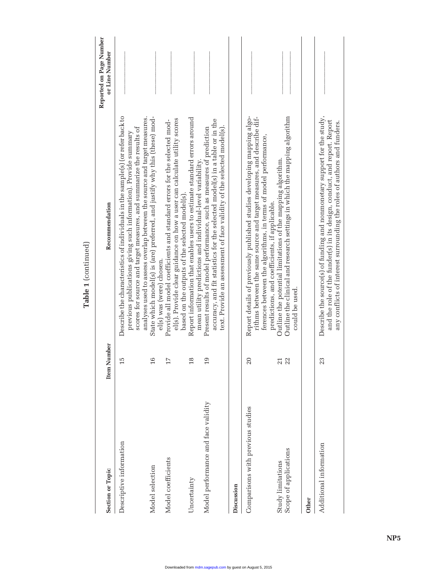| Section or Topic                           | Number<br>Item        | Recommendation                                                                                                                                                                                                                                                                                      | Reported on Page Number<br>or Line Number |
|--------------------------------------------|-----------------------|-----------------------------------------------------------------------------------------------------------------------------------------------------------------------------------------------------------------------------------------------------------------------------------------------------|-------------------------------------------|
| Descriptive information                    | 15                    | Describe the characteristics of individuals in the sample(s) (or refer back to<br>analyses used to assess overlap between the source and target measures.<br>scores for source and target measures, and summarize the results of<br>previous publications giving such information). Provide summary |                                           |
| Model selection                            | 16                    | State which model(s) is (are) preferred, and justify why this (these) mod-<br>el(s) was (were) chosen.                                                                                                                                                                                              |                                           |
| Model coefficients                         | 17                    | el(s). Provide clear guidance on how a user can calculate utility scores<br>Provide all model coefficients and standard errors for the selected mod-<br>based on the outputs of the selected model(s).                                                                                              |                                           |
| Uncertainty                                | 18                    | Report information that enables users to estimate standard errors around<br>mean utility predictions and individual-level variability                                                                                                                                                               |                                           |
| Model performance and face validity        | 19                    | accuracy, and fit statistics for the selected model(s) in a table or in the<br>text. Provide an assessment of face validity of the selected model(s).<br>Present results of model performance, such as measures of prediction                                                                       |                                           |
| Discussion                                 |                       |                                                                                                                                                                                                                                                                                                     |                                           |
| Comparisons with previous studies          | 20                    | Report details of previously published studies developing mapping algo-<br>rithms between the same source and target measures, and describe dif-<br>ferences between the algorithms, in terms of model performance,                                                                                 |                                           |
| Scope of applications<br>Study limitations | 22<br>$\overline{21}$ | Outline the clinical and research settings in which the mapping algorithm<br>Outline the potential limitations of the mapping algorithm.<br>predictions, and coefficients, if applicable.<br>could be used.                                                                                         |                                           |
| Other                                      |                       |                                                                                                                                                                                                                                                                                                     |                                           |
| Additional information                     | 23                    | Describe the source(s) of funding and nonmonetary support for the study,<br>and the role of the funder(s) in its design, conduct, and report. Report<br>any conflicts of interest surrounding the roles of authors and funders.                                                                     |                                           |

Table 1 (continued) Table 1 (continued)

NP5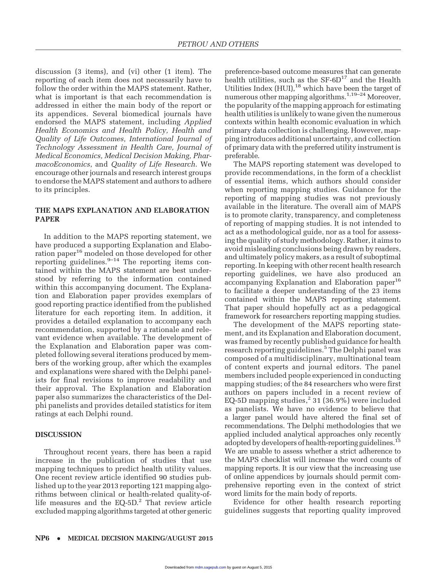discussion (3 items), and (vi) other (1 item). The reporting of each item does not necessarily have to follow the order within the MAPS statement. Rather, what is important is that each recommendation is addressed in either the main body of the report or its appendices. Several biomedical journals have endorsed the MAPS statement, including Applied Health Economics and Health Policy, Health and Quality of Life Outcomes, International Journal of Technology Assessment in Health Care, Journal of Medical Economics, Medical Decision Making, PharmacoEconomics, and Quality of Life Research. We encourage other journals and research interest groups to endorse the MAPS statement and authors to adhere to its principles.

### THE MAPS EXPLANATION AND ELABORATION PAPER

In addition to the MAPS reporting statement, we have produced a supporting Explanation and Elaboration paper<sup>16</sup> modeled on those developed for other reporting guidelines. $9-14$  The reporting items contained within the MAPS statement are best understood by referring to the information contained within this accompanying document. The Explanation and Elaboration paper provides exemplars of good reporting practice identified from the published literature for each reporting item. In addition, it provides a detailed explanation to accompany each recommendation, supported by a rationale and relevant evidence when available. The development of the Explanation and Elaboration paper was completed following several iterations produced by members of the working group, after which the examples and explanations were shared with the Delphi panelists for final revisions to improve readability and their approval. The Explanation and Elaboration paper also summarizes the characteristics of the Delphi panelists and provides detailed statistics for item ratings at each Delphi round.

#### DISCUSSION

Throughout recent years, there has been a rapid increase in the publication of studies that use mapping techniques to predict health utility values. One recent review article identified 90 studies published up to the year 2013 reporting 121 mapping algorithms between clinical or health-related quality-oflife measures and the  $EQ-5D$ .<sup>2</sup> That review article excluded mapping algorithms targeted at other generic preference-based outcome measures that can generate health utilities, such as the  $SF-6D^{17}$  and the Health Utilities Index (HUI),<sup>18</sup> which have been the target of numerous other mapping algorithms.<sup>1,19–24</sup> Moreover, the popularity of the mapping approach for estimating health utilities is unlikely to wane given the numerous contexts within health economic evaluation in which primary data collection is challenging. However, mapping introduces additional uncertainty, and collection of primary data with the preferred utility instrument is preferable.

The MAPS reporting statement was developed to provide recommendations, in the form of a checklist of essential items, which authors should consider when reporting mapping studies. Guidance for the reporting of mapping studies was not previously available in the literature. The overall aim of MAPS is to promote clarity, transparency, and completeness of reporting of mapping studies. It is not intended to act as a methodological guide, nor as a tool for assessing the quality of study methodology. Rather, it aims to avoid misleading conclusions being drawn by readers, and ultimately policy makers, as a result of suboptimal reporting. In keeping with other recent health research reporting guidelines, we have also produced an  $accompanying$  Explanation and Elaboration paper<sup>16</sup> to facilitate a deeper understanding of the 23 items contained within the MAPS reporting statement. That paper should hopefully act as a pedagogical framework for researchers reporting mapping studies.

The development of the MAPS reporting statement, and its Explanation and Elaboration document, was framed by recently published guidance for health research reporting guidelines.<sup>5</sup> The Delphi panel was composed of a multidisciplinary, multinational team of content experts and journal editors. The panel members included people experienced in conducting mapping studies; of the 84 researchers who were first authors on papers included in a recent review of EQ-5D mapping studies, $2$  31 (36.9%) were included as panelists. We have no evidence to believe that a larger panel would have altered the final set of recommendations. The Delphi methodologies that we applied included analytical approaches only recently adopted by developers of health-reporting guidelines.<sup>15</sup> We are unable to assess whether a strict adherence to the MAPS checklist will increase the word counts of mapping reports. It is our view that the increasing use of online appendices by journals should permit comprehensive reporting even in the context of strict word limits for the main body of reports.

Evidence for other health research reporting guidelines suggests that reporting quality improved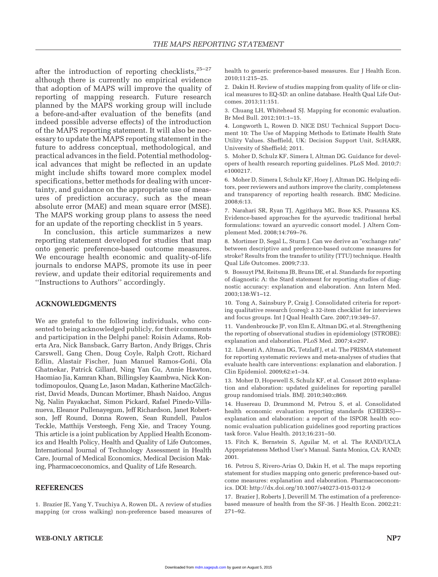after the introduction of reporting checklists,  $25-27$ although there is currently no empirical evidence that adoption of MAPS will improve the quality of reporting of mapping research. Future research planned by the MAPS working group will include a before-and-after evaluation of the benefits (and indeed possible adverse effects) of the introduction of the MAPS reporting statement. It will also be necessary to update the MAPS reporting statement in the future to address conceptual, methodological, and practical advances in the field. Potential methodological advances that might be reflected in an update might include shifts toward more complex model specifications, better methods for dealing with uncertainty, and guidance on the appropriate use of measures of prediction accuracy, such as the mean absolute error (MAE) and mean square error (MSE). The MAPS working group plans to assess the need for an update of the reporting checklist in 5 years.

In conclusion, this article summarizes a new reporting statement developed for studies that map onto generic preference-based outcome measures. We encourage health economic and quality-of-life journals to endorse MAPS, promote its use in peer review, and update their editorial requirements and ''Instructions to Authors'' accordingly.

#### ACKNOWLEDGMENTS

We are grateful to the following individuals, who consented to being acknowledged publicly, for their comments and participation in the Delphi panel: Roisin Adams, Roberta Ara, Nick Bansback, Garry Barton, Andy Briggs, Chris Carswell, Gang Chen, Doug Coyle, Ralph Crott, Richard Edlin, Alastair Fischer, Juan Manuel Ramos-Goñi, Ola Ghatnekar, Patrick Gillard, Ning Yan Gu, Annie Hawton, Haomiao Jia, Kamran Khan, Billingsley Kaambwa, Nick Kontodimopoulos, Quang Le, Jason Madan, Katherine MacGilchrist, David Meads, Duncan Mortimer, Bhash Naidoo, Angus Ng, Nalin Payakachat, Simon Pickard, Rafael Pinedo-Villanueva, Eleanor Pullenayegum, Jeff Richardson, Janet Robertson, Jeff Round, Donna Rowen, Sean Rundell, Paulos Teckle, Matthijs Versteegh, Feng Xie, and Tracey Young. This article is a joint publication by Applied Health Economics and Health Policy, Health and Quality of Life Outcomes, International Journal of Technology Assessment in Health Care, Journal of Medical Economics, Medical Decision Making, Pharmacoeconomics, and Quality of Life Research.

### **REFERENCES**

1. Brazier JE, Yang Y, Tsuchiya A, Rowen DL. A review of studies mapping (or cross walking) non-preference based measures of health to generic preference-based measures. Eur J Health Econ. 2010;11:215–25.

2. Dakin H. Review of studies mapping from quality of life or clinical measures to EQ-5D: an online database. Health Qual Life Outcomes. 2013;11:151.

3. Chuang LH, Whitehead SJ. Mapping for economic evaluation. Br Med Bull. 2012;101:1–15.

4. Longworth L, Rowen D. NICE DSU Technical Support Document 10: The Use of Mapping Methods to Estimate Health State Utility Values. Sheffield, UK: Decision Support Unit, ScHARR, University of Sheffield; 2011.

5. Moher D, Schulz KF, Simera I, Altman DG. Guidance for developers of health research reporting guidelines. PLoS Med. 2010;7: e1000217.

6. Moher D, Simera I, Schulz KF, Hoey J, Altman DG. Helping editors, peer reviewers and authors improve the clarity, completeness and transparency of reporting health research. BMC Medicine. 2008;6:13.

7. Narahari SR, Ryan TJ, Aggithaya MG, Bose KS, Prasanna KS. Evidence-based approaches for the ayurvedic traditional herbal formulations: toward an ayurvedic consort model. J Altern Complement Med. 2008;14:769–76.

8. Mortimer D, Segal L, Sturm J. Can we derive an "exchange rate" between descriptive and preference-based outcome measures for stroke? Results from the transfer to utility (TTU) technique. Health Qual Life Outcomes. 2009;7:33.

9. Bossuyt PM, Reitsma JB, Bruns DE, et al. Standards for reporting of diagnostic A: the Stard statement for reporting studies of diagnostic accuracy: explanation and elaboration. Ann Intern Med. 2003;138:W1–12.

10. Tong A, Sainsbury P, Craig J. Consolidated criteria for reporting qualitative research (coreq): a 32-item checklist for interviews and focus groups. Int J Qual Health Care. 2007;19:349–57.

11. Vandenbroucke JP, von Elm E, Altman DG, et al. Strengthening the reporting of observational studies in epidemiology (STROBE): explanation and elaboration. PLoS Med. 2007;4:e297.

12. Liberati A, Altman DG, Tetzlaff J, et al. The PRISMA statement for reporting systematic reviews and meta-analyses of studies that evaluate health care interventions: explanation and elaboration. J Clin Epidemiol. 2009;62:e1–34.

13. Moher D, Hopewell S, Schulz KF, et al. Consort 2010 explanation and elaboration: updated guidelines for reporting parallel group randomised trials. BMJ. 2010;340:c869.

14. Husereau D, Drummond M, Petrou S, et al. Consolidated health economic evaluation reporting standards (CHEERS) explanation and elaboration: a report of the ISPOR health economic evaluation publication guidelines good reporting practices task force. Value Health. 2013;16:231–50.

15. Fitch K, Bernstein S, Aguilar M, et al. The RAND/UCLA Appropriateness Method User's Manual. Santa Monica, CA: RAND; 2001.

16. Petrou S, Rivero-Arias O, Dakin H, et al. The maps reporting statement for studies mapping onto generic preference-based outcome measures: explanation and elaboration. Pharmacoeconomics. DOI: http://dx.doi.org/10.1007/s40273-015-0312-9

17. Brazier J, Roberts J, Deverill M. The estimation of a preferencebased measure of health from the SF-36. J Health Econ. 2002;21: 271–92.